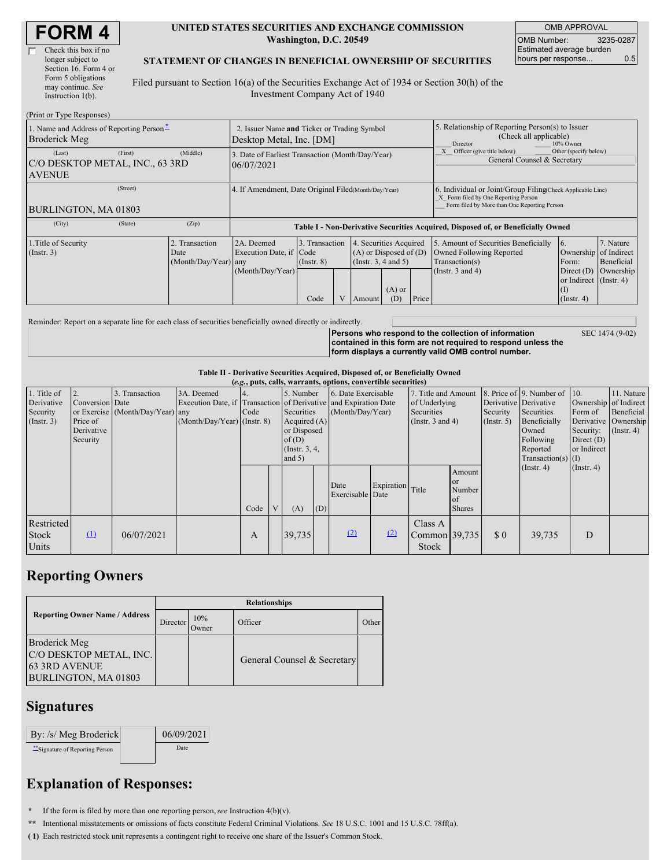| Check this box if no  |
|-----------------------|
| longer subject to     |
| Section 16. Form 4 or |
| Form 5 obligations    |
| may continue. See     |
| Instruction $1(b)$ .  |

#### **UNITED STATES SECURITIES AND EXCHANGE COMMISSION Washington, D.C. 20549**

OMB APPROVAL OMB Number: 3235-0287 Estimated average burden hours per response... 0.5

### **STATEMENT OF CHANGES IN BENEFICIAL OWNERSHIP OF SECURITIES**

Filed pursuant to Section 16(a) of the Securities Exchange Act of 1934 or Section 30(h) of the Investment Company Act of 1940

| (Print or Type Responses)                                             |                                                                         |                                                                                  |                                                                                                                                          |  |                 |       |                                                                                                                                                    |                                                                                                              |                                      |  |
|-----------------------------------------------------------------------|-------------------------------------------------------------------------|----------------------------------------------------------------------------------|------------------------------------------------------------------------------------------------------------------------------------------|--|-----------------|-------|----------------------------------------------------------------------------------------------------------------------------------------------------|--------------------------------------------------------------------------------------------------------------|--------------------------------------|--|
| 1. Name and Address of Reporting Person-<br>Broderick Meg             | 2. Issuer Name and Ticker or Trading Symbol<br>Desktop Metal, Inc. [DM] |                                                                                  |                                                                                                                                          |  |                 |       | 5. Relationship of Reporting Person(s) to Issuer<br>(Check all applicable)<br>10% Owner<br>Director                                                |                                                                                                              |                                      |  |
| (First)<br>(Last)<br>C/O DESKTOP METAL, INC., 63 3RD<br><b>AVENUE</b> | 3. Date of Earliest Transaction (Month/Day/Year)<br>06/07/2021          |                                                                                  |                                                                                                                                          |  |                 |       | Other (specify below)<br>Officer (give title below)<br>General Counsel & Secretary                                                                 |                                                                                                              |                                      |  |
| (Street)<br>BURLINGTON, MA 01803                                      | 4. If Amendment, Date Original Filed Month/Day/Year)                    |                                                                                  |                                                                                                                                          |  |                 |       | 6. Individual or Joint/Group Filing Check Applicable Line)<br>X Form filed by One Reporting Person<br>Form filed by More than One Reporting Person |                                                                                                              |                                      |  |
| (City)<br>(State)                                                     | (Zip)                                                                   | Table I - Non-Derivative Securities Acquired, Disposed of, or Beneficially Owned |                                                                                                                                          |  |                 |       |                                                                                                                                                    |                                                                                                              |                                      |  |
| 1. Title of Security<br>$($ Instr. 3 $)$                              | 2. Transaction<br>Date<br>(Month/Day/Year) any                          | 2A. Deemed<br>Execution Date, if Code<br>(Month/Day/Year)                        | 3. Transaction<br>4. Securities Acquired<br>$(A)$ or Disposed of $(D)$<br>(Insert. 3, 4 and 5)<br>$($ Instr. $8)$<br>V<br>Code<br>Amount |  | $(A)$ or<br>(D) | Price | 5. Amount of Securities Beneficially<br>Owned Following Reported<br>Transaction(s)<br>(Instr. $3$ and $4$ )                                        | 6.<br>Ownership of Indirect<br>Form:<br>Direct $(D)$<br>or Indirect $($ Instr. 4 $)$<br>(I)<br>$($ Instr. 4) | 7. Nature<br>Beneficial<br>Ownership |  |

Reminder: Report on a separate line for each class of securities beneficially owned directly or indirectly.

**Persons who respond to the collection of information contained in this form are not required to respond unless the form displays a currently valid OMB control number.**

SEC 1474 (9-02)

### **Table II - Derivative Securities Acquired, Disposed of, or Beneficially Owned**

| (e.g., puts, calls, warrants, options, convertible securities) |                                                             |                                                    |                                             |      |              |                                                                                                   |     |                                                                                                             |                  |                                                                             |                                                      |                                                  |                                                                                                                                               |                                                                                                      |                                           |
|----------------------------------------------------------------|-------------------------------------------------------------|----------------------------------------------------|---------------------------------------------|------|--------------|---------------------------------------------------------------------------------------------------|-----|-------------------------------------------------------------------------------------------------------------|------------------|-----------------------------------------------------------------------------|------------------------------------------------------|--------------------------------------------------|-----------------------------------------------------------------------------------------------------------------------------------------------|------------------------------------------------------------------------------------------------------|-------------------------------------------|
| 1. Title of<br>Derivative<br>Security<br>(Insert. 3)           | 2.<br>Conversion Date<br>Price of<br>Derivative<br>Security | 3. Transaction<br>or Exercise (Month/Day/Year) any | 3A. Deemed<br>$(Month/Day/Year)$ (Instr. 8) | Code |              | 5. Number<br>Securities<br>Acquired $(A)$<br>or Disposed<br>of(D)<br>$($ Instr. 3, 4,<br>and $5)$ |     | 6. Date Exercisable<br>Execution Date, if Transaction of Derivative and Expiration Date<br>(Month/Day/Year) |                  | 7. Title and Amount<br>of Underlying<br>Securities<br>(Instr. $3$ and $4$ ) |                                                      | Security<br>$($ Instr. 5 $)$                     | 8. Price of 9. Number of 10.<br>Derivative Derivative<br>Securities<br>Beneficially<br>Owned<br>Following<br>Reported<br>$Transaction(s)$ (I) | Ownership of Indirect<br>Form of<br>Derivative Ownership<br>Security:<br>Direct $(D)$<br>or Indirect | 11. Nature<br>Beneficial<br>$($ Instr. 4) |
|                                                                |                                                             |                                                    |                                             | Code | $\mathbf{V}$ | (A)                                                                                               | (D) | Date<br>Exercisable Date                                                                                    | Expiration Title |                                                                             | Amount<br><b>or</b><br>Number<br>of<br><b>Shares</b> |                                                  | $($ Instr. 4)                                                                                                                                 | $($ Instr. 4 $)$                                                                                     |                                           |
| Restricted<br>Stock<br>Units                                   | $\Omega$                                                    | 06/07/2021                                         |                                             | A    |              | 39,735                                                                                            |     | (2)                                                                                                         | (2)              | Class A<br>Common 39,735<br>Stock                                           |                                                      | $\boldsymbol{\mathsf{S}}\boldsymbol{\mathsf{0}}$ | 39,735                                                                                                                                        | D                                                                                                    |                                           |

### **Reporting Owners**

|                                                                                                 | <b>Relationships</b> |              |                             |       |  |  |  |  |  |  |
|-------------------------------------------------------------------------------------------------|----------------------|--------------|-----------------------------|-------|--|--|--|--|--|--|
| <b>Reporting Owner Name / Address</b>                                                           | Director             | 10%<br>Owner | Officer                     | Other |  |  |  |  |  |  |
| <b>Broderick Meg</b><br>C/O DESKTOP METAL, INC.<br><b>63 3RD AVENUE</b><br>BURLINGTON, MA 01803 |                      |              | General Counsel & Secretary |       |  |  |  |  |  |  |

## **Signatures**

| By: /s/ Meg Broderick          | 06/09/2021 |
|--------------------------------|------------|
| "Signature of Reporting Person | Date       |

# **Explanation of Responses:**

**\*** If the form is filed by more than one reporting person,*see* Instruction 4(b)(v).

**\*\*** Intentional misstatements or omissions of facts constitute Federal Criminal Violations. *See* 18 U.S.C. 1001 and 15 U.S.C. 78ff(a).

**( 1)** Each restricted stock unit represents a contingent right to receive one share of the Issuer's Common Stock.